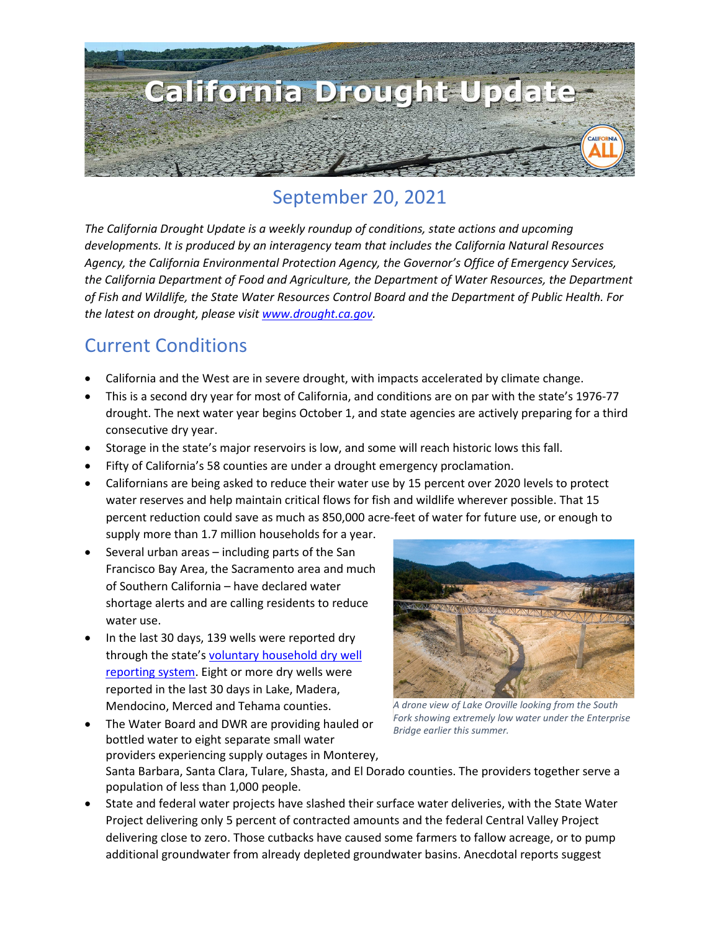

## September 20, 2021

*The California Drought Update is a weekly roundup of conditions, state actions and upcoming developments. It is produced by an interagency team that includes the California Natural Resources Agency, the California Environmental Protection Agency, the Governor's Office of Emergency Services, the California Department of Food and Agriculture, the Department of Water Resources, the Department of Fish and Wildlife, the State Water Resources Control Board and the Department of Public Health. For the latest on drought, please visit [www.drought.ca.gov.](http://www.drought.ca.gov/)* 

#### Current Conditions

- California and the West are in severe drought, with impacts accelerated by climate change.
- This is a second dry year for most of California, and conditions are on par with the state's 1976-77 drought. The next water year begins October 1, and state agencies are actively preparing for a third consecutive dry year.
- Storage in the state's major reservoirs is low, and some will reach historic lows this fall.
- Fifty of California's 58 counties are under a drought emergency proclamation.
- Californians are being asked to reduce their water use by 15 percent over 2020 levels to protect water reserves and help maintain critical flows for fish and wildlife wherever possible. That 15 percent reduction could save as much as 850,000 acre-feet of water for future use, or enough to supply more than 1.7 million households for a year.
- Several urban areas including parts of the San Francisco Bay Area, the Sacramento area and much of Southern California – have declared water shortage alerts and are calling residents to reduce water use.
- In the last 30 days, 139 wells were reported dry through the state'[s voluntary household dry well](https://mydrywell.water.ca.gov/report/)  [reporting system.](https://mydrywell.water.ca.gov/report/) Eight or more dry wells were reported in the last 30 days in Lake, Madera, Mendocino, Merced and Tehama counties.



*A drone view of Lake Oroville looking from the South Fork showing extremely low water under the Enterprise Bridge earlier this summer.*

- The Water Board and DWR are providing hauled or bottled water to eight separate small water providers experiencing supply outages in Monterey,
	- Santa Barbara, Santa Clara, Tulare, Shasta, and El Dorado counties. The providers together serve a population of less than 1,000 people.
- State and federal water projects have slashed their surface water deliveries, with the State Water Project delivering only 5 percent of contracted amounts and the federal Central Valley Project delivering close to zero. Those cutbacks have caused some farmers to fallow acreage, or to pump additional groundwater from already depleted groundwater basins. Anecdotal reports suggest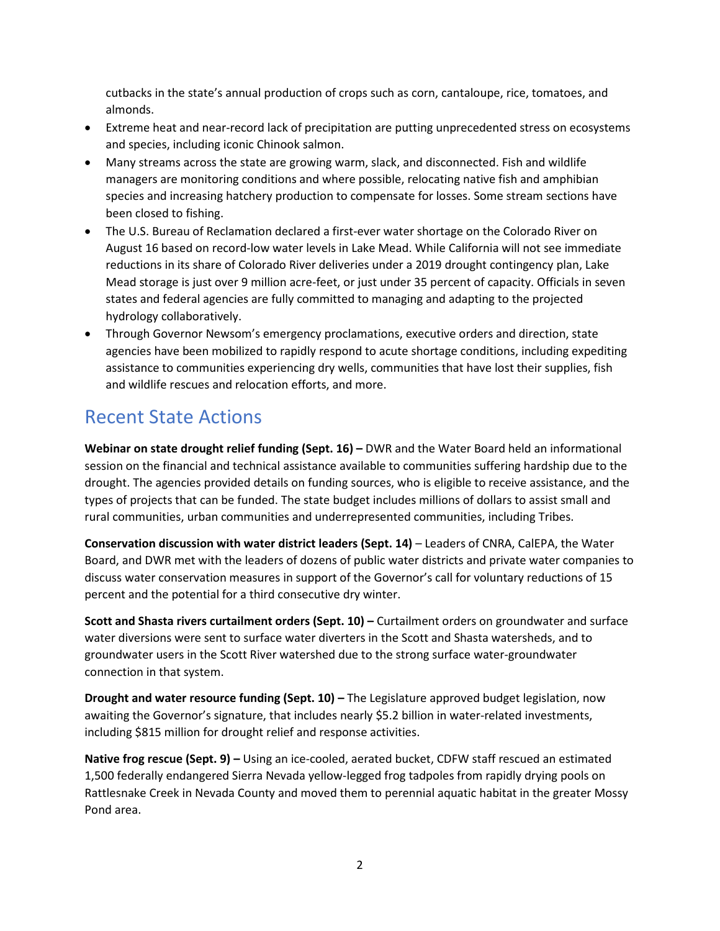cutbacks in the state's annual production of crops such as corn, cantaloupe, rice, tomatoes, and almonds.

- Extreme heat and near-record lack of precipitation are putting unprecedented stress on ecosystems and species, including iconic Chinook salmon.
- Many streams across the state are growing warm, slack, and disconnected. Fish and wildlife managers are monitoring conditions and where possible, relocating native fish and amphibian species and increasing hatchery production to compensate for losses. Some stream sections have been closed to fishing.
- The U.S. Bureau of Reclamation declared a first-ever water shortage on the Colorado River on August 16 based on record-low water levels in Lake Mead. While California will not see immediate reductions in its share of Colorado River deliveries under a 2019 drought contingency plan, Lake Mead storage is just over 9 million acre-feet, or just under 35 percent of capacity. Officials in seven states and federal agencies are fully committed to managing and adapting to the projected hydrology collaboratively.
- Through Governor Newsom's emergency proclamations, executive orders and direction, state agencies have been mobilized to rapidly respond to acute shortage conditions, including expediting assistance to communities experiencing dry wells, communities that have lost their supplies, fish and wildlife rescues and relocation efforts, and more.

## Recent State Actions

**Webinar on state drought relief funding (Sept. 16) –** DWR and the Water Board held an informational session on the financial and technical assistance available to communities suffering hardship due to the drought. The agencies provided details on funding sources, who is eligible to receive assistance, and the types of projects that can be funded. The state budget includes millions of dollars to assist small and rural communities, urban communities and underrepresented communities, including Tribes.

**Conservation discussion with water district leaders (Sept. 14)** – Leaders of CNRA, CalEPA, the Water Board, and DWR met with the leaders of dozens of public water districts and private water companies to discuss water conservation measures in support of the Governor's call for voluntary reductions of 15 percent and the potential for a third consecutive dry winter.

**Scott and Shasta rivers curtailment orders (Sept. 10) –** Curtailment orders on groundwater and surface water diversions were sent to surface water diverters in the Scott and Shasta watersheds, and to groundwater users in the Scott River watershed due to the strong surface water-groundwater connection in that system.

**Drought and water resource funding (Sept. 10) –** The Legislature approved budget legislation, now awaiting the Governor's signature, that includes nearly \$5.2 billion in water-related investments, including \$815 million for drought relief and response activities.

**Native frog rescue (Sept. 9) –** Using an ice-cooled, aerated bucket, CDFW staff rescued an estimated 1,500 federally endangered Sierra Nevada yellow-legged frog tadpoles from rapidly drying pools on Rattlesnake Creek in Nevada County and moved them to perennial aquatic habitat in the greater Mossy Pond area.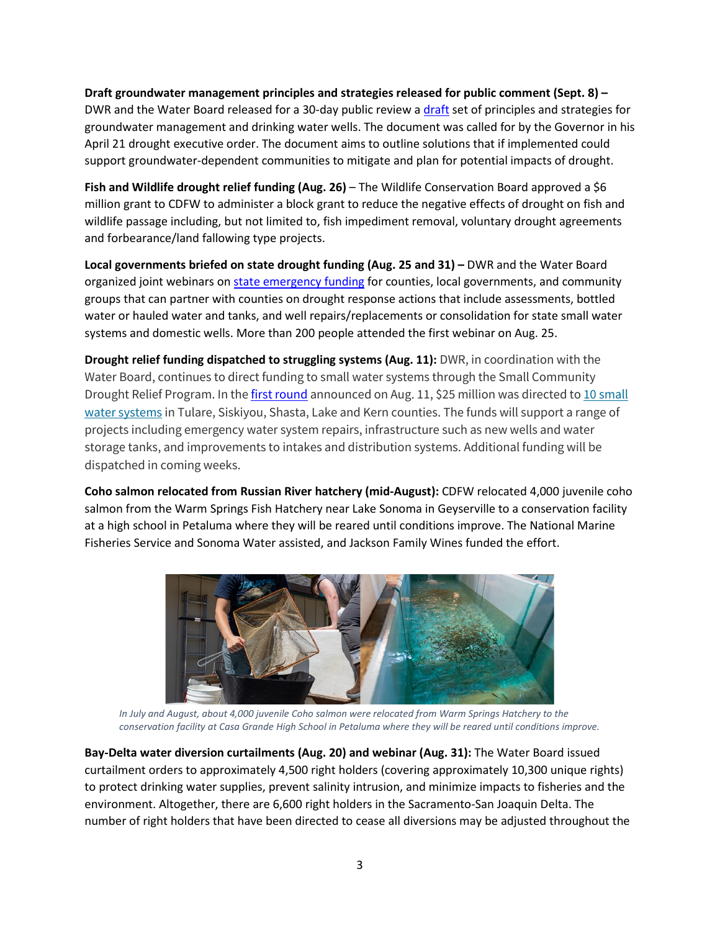**Draft groundwater management principles and strategies released for public comment (Sept. 8) –** DWR and the Water Board released for a 30-day public review a [draft](https://water.ca.gov/-/media/DWR-Website/Web-Pages/Programs/Groundwater-Management/DrinkingWater/Files/Drinking-Water-Well-Principles-Sept2021.pdf) set of principles and strategies for groundwater management and drinking water wells. The document was called for by the Governor in his April 21 drought executive order. The document aims to outline solutions that if implemented could support groundwater-dependent communities to mitigate and plan for potential impacts of drought.

Fish and Wildlife drought relief funding (Aug. 26) – The Wildlife Conservation Board approved a \$6 million grant to CDFW to administer a block grant to reduce the negative effects of drought on fish and wildlife passage including, but not limited to, fish impediment removal, voluntary drought agreements and forbearance/land fallowing type projects.

**Local governments briefed on state drought funding (Aug. 25 and 31) –** DWR and the Water Board organized joint webinars on [state emergency funding](https://www.waterboards.ca.gov/drought/drought_funding_for_counties/) for counties, local governments, and community groups that can partner with counties on drought response actions that include assessments, bottled water or hauled water and tanks, and well repairs/replacements or consolidation for state small water systems and domestic wells. More than 200 people attended the first webinar on Aug. 25.

**Drought relief funding dispatched to struggling systems (Aug. 11):** DWR, in coordination with the Water Board, continues to direct funding to small water systems through the Small Community Drought Relief Program. In th[e first round](https://water.ca.gov/News/News-Releases/2021/Aug-21/State-Agencies-Announce-First-Round-of-Commitments-for-Drought-Funding-Small-Communities) announced on Aug. 11, \$25 million was directed to 10 small [water systems](https://water.ca.gov/-/media/DWR-Website/Web-Pages/Work-With-Us/Grants-And-Loans/Small-Community-Drought-Relief/Grants-Funding-Location-Map) in Tulare, Siskiyou, Shasta, Lake and Kern counties. The funds will support a range of projects including emergency water system repairs, infrastructure such as new wells and water storage tanks, and improvements to intakes and distribution systems. Additional funding will be dispatched in coming weeks.

**Coho salmon relocated from Russian River hatchery (mid-August):** CDFW relocated 4,000 juvenile coho salmon from the Warm Springs Fish Hatchery near Lake Sonoma in Geyserville to a conservation facility at a high school in Petaluma where they will be reared until conditions improve. The National Marine Fisheries Service and Sonoma Water assisted, and Jackson Family Wines funded the effort.



*In July and August, about 4,000 juvenile Coho salmon were relocated from Warm Springs Hatchery to the conservation facility at Casa Grande High School in Petaluma where they will be reared until conditions improve.*

**Bay-Delta water diversion curtailments (Aug. 20) and webinar (Aug. 31):** The Water Board issued curtailment orders to approximately 4,500 right holders (covering approximately 10,300 unique rights) to protect drinking water supplies, prevent salinity intrusion, and minimize impacts to fisheries and the environment. Altogether, there are 6,600 right holders in the Sacramento-San Joaquin Delta. The number of right holders that have been directed to cease all diversions may be adjusted throughout the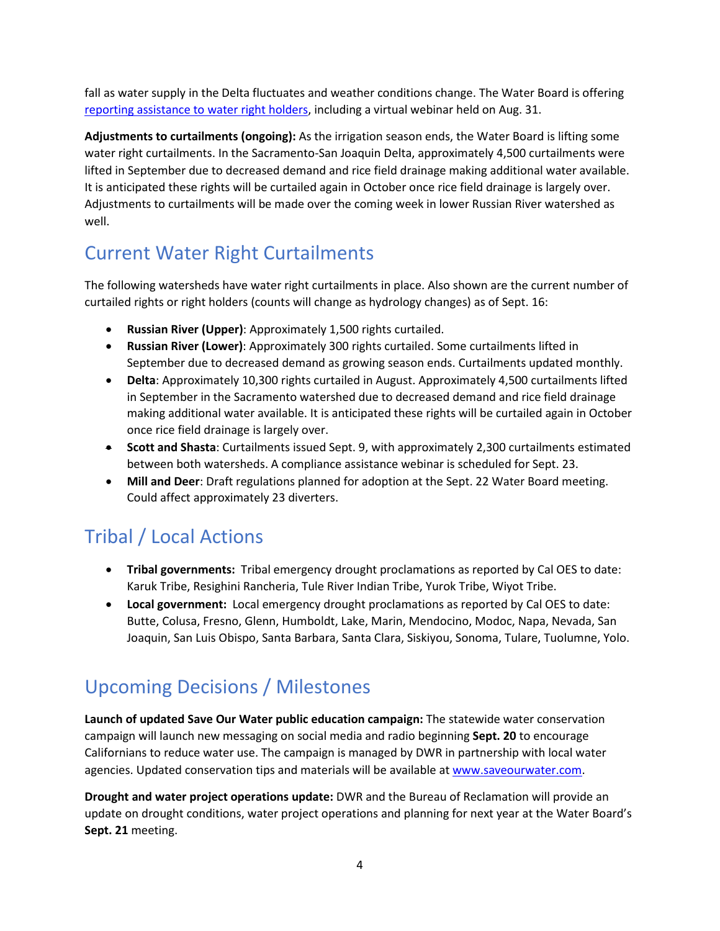fall as water supply in the Delta fluctuates and weather conditions change. The Water Board is offering [reporting assistance to water right holders,](https://www.waterboards.ca.gov/drought/delta/) including a virtual webinar held on Aug. 31.

**Adjustments to curtailments (ongoing):** As the irrigation season ends, the Water Board is lifting some water right curtailments. In the Sacramento-San Joaquin Delta, approximately 4,500 curtailments were lifted in September due to decreased demand and rice field drainage making additional water available. It is anticipated these rights will be curtailed again in October once rice field drainage is largely over. Adjustments to curtailments will be made over the coming week in lower Russian River watershed as well.

## Current Water Right Curtailments

The following watersheds have water right curtailments in place. Also shown are the current number of curtailed rights or right holders (counts will change as hydrology changes) as of Sept. 16:

- **Russian River (Upper)**: Approximately 1,500 rights curtailed.
- **Russian River (Lower)**: Approximately 300 rights curtailed. Some curtailments lifted in September due to decreased demand as growing season ends. Curtailments updated monthly.
- **Delta**: Approximately 10,300 rights curtailed in August. Approximately 4,500 curtailments lifted in September in the Sacramento watershed due to decreased demand and rice field drainage making additional water available. It is anticipated these rights will be curtailed again in October once rice field drainage is largely over.
- **Scott and Shasta**: Curtailments issued Sept. 9, with approximately 2,300 curtailments estimated between both watersheds. A compliance assistance webinar is scheduled for Sept. 23.
- **Mill and Deer**: Draft regulations planned for adoption at the Sept. 22 Water Board meeting. Could affect approximately 23 diverters.

# Tribal / Local Actions

- **Tribal governments:** Tribal emergency drought proclamations as reported by Cal OES to date: Karuk Tribe, Resighini Rancheria, Tule River Indian Tribe, Yurok Tribe, Wiyot Tribe.
- **Local government:** Local emergency drought proclamations as reported by Cal OES to date: Butte, Colusa, Fresno, Glenn, Humboldt, Lake, Marin, Mendocino, Modoc, Napa, Nevada, San Joaquin, San Luis Obispo, Santa Barbara, Santa Clara, Siskiyou, Sonoma, Tulare, Tuolumne, Yolo.

#### Upcoming Decisions / Milestones

**Launch of updated Save Our Water public education campaign:** The statewide water conservation campaign will launch new messaging on social media and radio beginning **Sept. 20** to encourage Californians to reduce water use. The campaign is managed by DWR in partnership with local water agencies. Updated conservation tips and materials will be available at [www.saveourwater.com.](http://www.saveourwater.com/)

**Drought and water project operations update:** DWR and the Bureau of Reclamation will provide an update on drought conditions, water project operations and planning for next year at the Water Board's **Sept. 21** meeting.